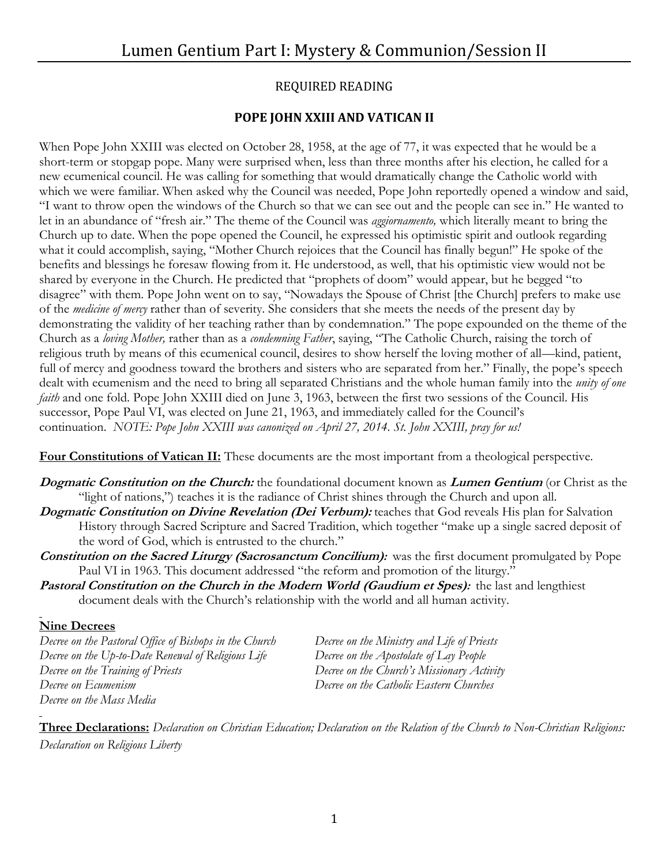## REQUIRED READING

### **POPE JOHN XXIII AND VATICAN II**

When Pope John XXIII was elected on October 28, 1958, at the age of 77, it was expected that he would be a short-term or stopgap pope. Many were surprised when, less than three months after his election, he called for a new ecumenical council. He was calling for something that would dramatically change the Catholic world with which we were familiar. When asked why the Council was needed, Pope John reportedly opened a window and said, "I want to throw open the windows of the Church so that we can see out and the people can see in." He wanted to let in an abundance of "fresh air." The theme of the Council was *aggiornamento,* which literally meant to bring the Church up to date. When the pope opened the Council, he expressed his optimistic spirit and outlook regarding what it could accomplish, saying, "Mother Church rejoices that the Council has finally begun!" He spoke of the benefits and blessings he foresaw flowing from it. He understood, as well, that his optimistic view would not be shared by everyone in the Church. He predicted that "prophets of doom" would appear, but he begged "to disagree" with them. Pope John went on to say, "Nowadays the Spouse of Christ [the Church] prefers to make use of the *medicine of mercy* rather than of severity. She considers that she meets the needs of the present day by demonstrating the validity of her teaching rather than by condemnation." The pope expounded on the theme of the Church as a *loving Mother,* rather than as a *condemning Father*, saying, "The Catholic Church, raising the torch of religious truth by means of this ecumenical council, desires to show herself the loving mother of all—kind, patient, full of mercy and goodness toward the brothers and sisters who are separated from her." Finally, the pope's speech dealt with ecumenism and the need to bring all separated Christians and the whole human family into the *unity of one faith* and one fold. Pope John XXIII died on June 3, 1963, between the first two sessions of the Council. His successor, Pope Paul VI, was elected on June 21, 1963, and immediately called for the Council's continuation. *NOTE: Pope John XXIII was canonized on April 27, 2014. St. John XXIII, pray for us!*

**Four Constitutions of Vatican II:** These documents are the most important from a theological perspective.

- **Dogmatic Constitution on the Church:** the foundational document known as **Lumen Gentium** (or Christ as the "light of nations,") teaches it is the radiance of Christ shines through the Church and upon all.
- **Dogmatic Constitution on Divine Revelation (Dei Verbum):** teaches that God reveals His plan for Salvation History through Sacred Scripture and Sacred Tradition, which together "make up a single sacred deposit of the word of God, which is entrusted to the church."
- **Constitution on the Sacred Liturgy (Sacrosanctum Concilium):**was the first document promulgated by Pope Paul VI in 1963. This document addressed "the reform and promotion of the liturgy."
- **Pastoral Constitution on the Church in the Modern World (Gaudium et Spes):** the last and lengthiest document deals with the Church's relationship with the world and all human activity.

### **Nine Decrees**

*Decree on the Pastoral Office of Bishops in the Church Decree on the Ministry and Life of Priests Decree on the Up-to-Date Renewal of Religious Life Decree on the Apostolate of Lay People Decree on the Training of Priests Decree on the Church's Missionary Activity Decree on Ecumenism Decree on the Catholic Eastern Churches Decree on the Mass Media*

**Three Declarations:** *Declaration on Christian Education; Declaration on the Relation of the Church to Non-Christian Religions: Declaration on Religious Liberty*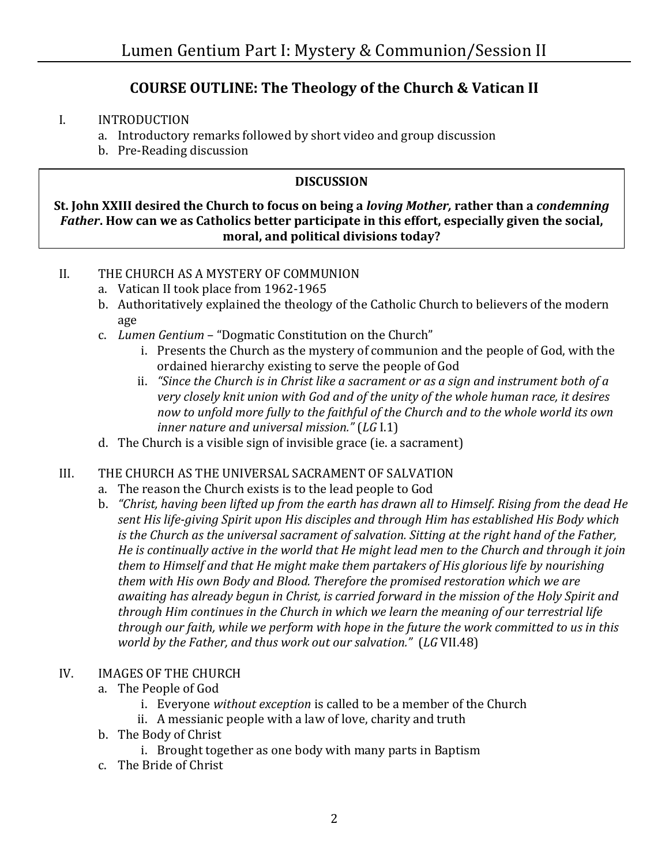# **COURSE OUTLINE: The Theology of the Church & Vatican II**

#### I. INTRODUCTION

- a. Introductory remarks followed by short video and group discussion
- b. Pre-Reading discussion

### **DISCUSSION**

**St. John XXIII desired the Church to focus on being a** *loving Mother,* **rather than a** *condemning Father***. How can we as Catholics better participate in this effort, especially given the social, moral, and political divisions today?**

#### II. THE CHURCH AS A MYSTERY OF COMMUNION

- a. Vatican II took place from 1962-1965
- b. Authoritatively explained the theology of the Catholic Church to believers of the modern age
- c. *Lumen Gentium* "Dogmatic Constitution on the Church"
	- i. Presents the Church as the mystery of communion and the people of God, with the ordained hierarchy existing to serve the people of God
	- ii. *"Since the Church is in Christ like a sacrament or as a sign and instrument both of a very closely knit union with God and of the unity of the whole human race, it desires now to unfold more fully to the faithful of the Church and to the whole world its own inner nature and universal mission."* (*LG* I.1)
- d. The Church is a visible sign of invisible grace (ie. a sacrament)

#### III. THE CHURCH AS THE UNIVERSAL SACRAMENT OF SALVATION

- a. The reason the Church exists is to the lead people to God
- b. *"Christ, having been lifted up from the earth has drawn all to Himself. Rising from the dead He sent His life-giving Spirit upon His disciples and through Him has established His Body which is the Church as the universal sacrament of salvation. Sitting at the right hand of the Father, He is continually active in the world that He might lead men to the Church and through it join them to Himself and that He might make them partakers of His glorious life by nourishing them with His own Body and Blood. Therefore the promised restoration which we are awaiting has already begun in Christ, is carried forward in the mission of the Holy Spirit and through Him continues in the Church in which we learn the meaning of our terrestrial life through our faith, while we perform with hope in the future the work committed to us in this world by the Father, and thus work out our salvation."* (*LG* VII.48)

#### IV. IMAGES OF THE CHURCH

- a. The People of God
	- i. Everyone *without exception* is called to be a member of the Church
	- ii. A messianic people with a law of love, charity and truth
- b. The Body of Christ
	- i. Brought together as one body with many parts in Baptism
- c. The Bride of Christ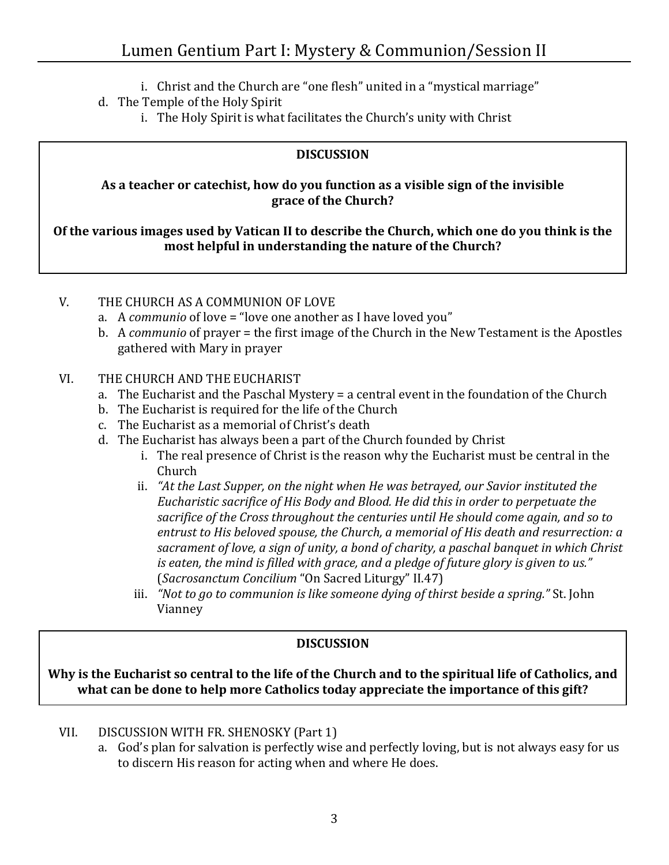- i. Christ and the Church are "one flesh" united in a "mystical marriage"
- d. The Temple of the Holy Spirit
	- i. The Holy Spirit is what facilitates the Church's unity with Christ

### **DISCUSSION**

### **As a teacher or catechist, how do you function as a visible sign of the invisible grace of the Church?**

**Of the various images used by Vatican II to describe the Church, which one do you think is the most helpful in understanding the nature of the Church?**

### V. THE CHURCH AS A COMMUNION OF LOVE

- a. A *communio* of love = "love one another as I have loved you"
- b. A *communio* of prayer = the first image of the Church in the New Testament is the Apostles gathered with Mary in prayer

# VI. THE CHURCH AND THE EUCHARIST

- a. The Eucharist and the Paschal Mystery = a central event in the foundation of the Church
- b. The Eucharist is required for the life of the Church
- c. The Eucharist as a memorial of Christ's death
- d. The Eucharist has always been a part of the Church founded by Christ
	- i. The real presence of Christ is the reason why the Eucharist must be central in the Church
	- ii. *"At the Last Supper, on the night when He was betrayed, our Savior instituted the Eucharistic sacrifice of His Body and Blood. He did this in order to perpetuate the sacrifice of the Cross throughout the centuries until He should come again, and so to entrust to His beloved spouse, the Church, a memorial of His death and resurrection: a sacrament of love, a sign of unity, a bond of charity, a paschal banquet in which Christ is eaten, the mind is filled with grace, and a pledge of future glory is given to us."* (*Sacrosanctum Concilium* "On Sacred Liturgy" II.47)
	- iii. *"Not to go to communion is like someone dying of thirst beside a spring."* St. John Vianney

# **DISCUSSION**

**Why is the Eucharist so central to the life of the Church and to the spiritual life of Catholics, and what can be done to help more Catholics today appreciate the importance of this gift?**

- VII. DISCUSSION WITH FR. SHENOSKY (Part 1)
	- a. God's plan for salvation is perfectly wise and perfectly loving, but is not always easy for us to discern His reason for acting when and where He does.